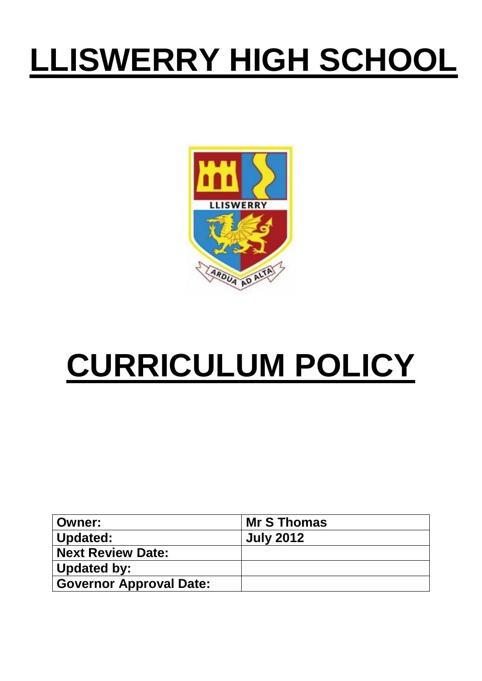## **LLISWERRY HIGH SCHOOL**



# **CURRICULUM POLICY**

| ∣ Owner:                       | Mr S Thomas      |
|--------------------------------|------------------|
| Updated:                       | <b>July 2012</b> |
| Next Review Date:              |                  |
| Updated by:                    |                  |
| <b>Governor Approval Date:</b> |                  |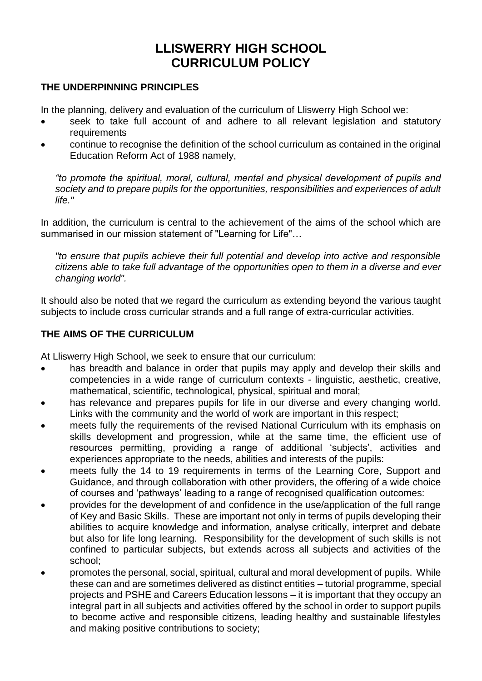### **LLISWERRY HIGH SCHOOL CURRICULUM POLICY**

#### **THE UNDERPINNING PRINCIPLES**

In the planning, delivery and evaluation of the curriculum of Lliswerry High School we:

- seek to take full account of and adhere to all relevant legislation and statutory requirements
- continue to recognise the definition of the school curriculum as contained in the original Education Reform Act of 1988 namely,

*"to promote the spiritual, moral, cultural, mental and physical development of pupils and society and to prepare pupils for the opportunities, responsibilities and experiences of adult life."*

In addition, the curriculum is central to the achievement of the aims of the school which are summarised in our mission statement of "Learning for Life"…

*"to ensure that pupils achieve their full potential and develop into active and responsible citizens able to take full advantage of the opportunities open to them in a diverse and ever changing world".*

It should also be noted that we regard the curriculum as extending beyond the various taught subjects to include cross curricular strands and a full range of extra-curricular activities.

#### **THE AIMS OF THE CURRICULUM**

At Lliswerry High School, we seek to ensure that our curriculum:

- has breadth and balance in order that pupils may apply and develop their skills and competencies in a wide range of curriculum contexts - linguistic, aesthetic, creative, mathematical, scientific, technological, physical, spiritual and moral;
- has relevance and prepares pupils for life in our diverse and every changing world. Links with the community and the world of work are important in this respect;
- meets fully the requirements of the revised National Curriculum with its emphasis on skills development and progression, while at the same time, the efficient use of resources permitting, providing a range of additional 'subjects', activities and experiences appropriate to the needs, abilities and interests of the pupils:
- meets fully the 14 to 19 requirements in terms of the Learning Core, Support and Guidance, and through collaboration with other providers, the offering of a wide choice of courses and 'pathways' leading to a range of recognised qualification outcomes:
- provides for the development of and confidence in the use/application of the full range of Key and Basic Skills. These are important not only in terms of pupils developing their abilities to acquire knowledge and information, analyse critically, interpret and debate but also for life long learning. Responsibility for the development of such skills is not confined to particular subjects, but extends across all subjects and activities of the school;
- promotes the personal, social, spiritual, cultural and moral development of pupils. While these can and are sometimes delivered as distinct entities – tutorial programme, special projects and PSHE and Careers Education lessons – it is important that they occupy an integral part in all subjects and activities offered by the school in order to support pupils to become active and responsible citizens, leading healthy and sustainable lifestyles and making positive contributions to society;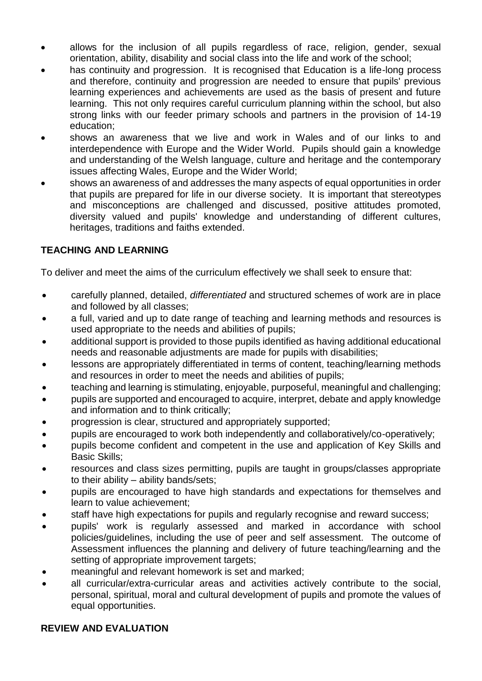- allows for the inclusion of all pupils regardless of race, religion, gender, sexual orientation, ability, disability and social class into the life and work of the school;
- has continuity and progression. It is recognised that Education is a life-long process and therefore, continuity and progression are needed to ensure that pupils' previous learning experiences and achievements are used as the basis of present and future learning. This not only requires careful curriculum planning within the school, but also strong links with our feeder primary schools and partners in the provision of 14-19 education;
- shows an awareness that we live and work in Wales and of our links to and interdependence with Europe and the Wider World. Pupils should gain a knowledge and understanding of the Welsh language, culture and heritage and the contemporary issues affecting Wales, Europe and the Wider World;
- shows an awareness of and addresses the many aspects of equal opportunities in order that pupils are prepared for life in our diverse society. It is important that stereotypes and misconceptions are challenged and discussed, positive attitudes promoted, diversity valued and pupils' knowledge and understanding of different cultures, heritages, traditions and faiths extended.

### **TEACHING AND LEARNING**

To deliver and meet the aims of the curriculum effectively we shall seek to ensure that:

- carefully planned, detailed, *differentiated* and structured schemes of work are in place and followed by all classes;
- a full, varied and up to date range of teaching and learning methods and resources is used appropriate to the needs and abilities of pupils;
- additional support is provided to those pupils identified as having additional educational needs and reasonable adjustments are made for pupils with disabilities;
- lessons are appropriately differentiated in terms of content, teaching/learning methods and resources in order to meet the needs and abilities of pupils;
- teaching and learning is stimulating, enjoyable, purposeful, meaningful and challenging;
- pupils are supported and encouraged to acquire, interpret, debate and apply knowledge and information and to think critically;
- progression is clear, structured and appropriately supported;
- pupils are encouraged to work both independently and collaboratively/co-operatively;
- pupils become confident and competent in the use and application of Key Skills and Basic Skills;
- resources and class sizes permitting, pupils are taught in groups/classes appropriate to their ability – ability bands/sets;
- pupils are encouraged to have high standards and expectations for themselves and learn to value achievement;
- staff have high expectations for pupils and regularly recognise and reward success;
- pupils' work is regularly assessed and marked in accordance with school policies/guidelines, including the use of peer and self assessment. The outcome of Assessment influences the planning and delivery of future teaching/learning and the setting of appropriate improvement targets;
- meaningful and relevant homework is set and marked;
- all curricular/extra-curricular areas and activities actively contribute to the social, personal, spiritual, moral and cultural development of pupils and promote the values of equal opportunities.

#### **REVIEW AND EVALUATION**